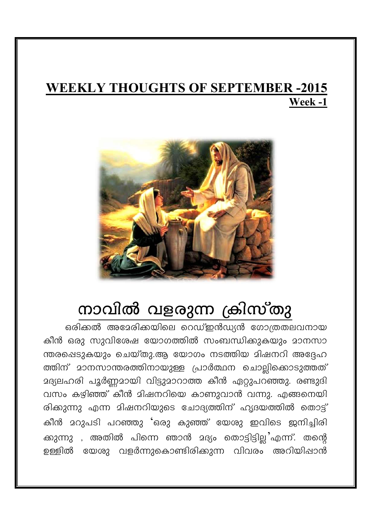## **WEEKLY THOUGHTS OF SEPTEMBER -2015** Week-1



## നാവിൽ വളരുന്ന ക്രിസ്തു

ഒരിക്കൽ അമേരിക്കയിലെ റെഡ്ഇൻഡ്യൻ ഗോത്രതലവനായ കീൻ ഒരു സുവിശേഷ യോഗത്തിൽ സംബന്ധിക്കുകയും മാനസാ ന്തരപ്പെടുകയും ചെയ്തു.ആ യോഗം നടത്തിയ മിഷനറി അദ്ദേഹ ത്തിന് മാനസാന്തരത്തിനായുള്ള പ്രാർത്ഥന ചൊല്ലിക്കൊടുത്തത് മദ്യലഹരി പൂർണ്ണമായി വിട്ടുമാറാത്ത കീൻ ഏറ്റുപറഞ്ഞു. രണ്ടുദി വസം കഴിഞ്ഞ് കീൻ മിഷനറിയെ കാണുവാൻ വന്നു. എങ്ങനെയി രിക്കുന്നു എന്ന മിഷനറിയുടെ ചോദ്യത്തിന് ഹൃദയത്തിൽ തൊട്ട് കീൻ മറുപടി പറഞ്ഞു 'ഒരു കുഞ്ഞ് യേശു ഇവിടെ ജനിച്ചിരി ക്കുന്നു , അതിൽ പിന്നെ ഞാൻ മദ്യം തൊട്ടിട്ടില്ല എന്ന്. തന്റെ ഉള്ളിൽ യേശു വളർന്നുകൊണ്ടിരിക്കുന്ന വിവരം അറിയിഷാൻ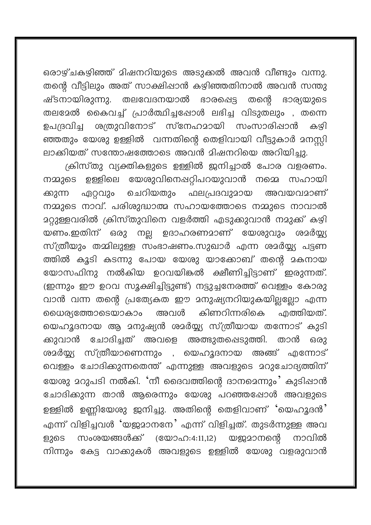ഒരാഴ്ചകഴിഞ്ഞ് മിഷനറിയുടെ അടുക്കൽ അവൻ വീണ്ടും വന്നു. തന്റെ വീട്ടിലും അത് സാക്ഷിഷാൻ കഴിഞ്ഞതിനാൽ അവൻ സന്തു ഷ്ടനായിരുന്നു. തലവേദനയാൽ ഭാരപ്പെട്ട തന്റെ ഭാര്യയുടെ തലമേൽ കൈവച്ച് പ്രാർത്ഥിച്ചപ്പോൾ ലഭിച്ച വിടുതലും , തന്നെ ശത്രുവിനോട് സ്നേഹമായി സംസാരിഷാൻ ഉപദ്രവിച്ച കഴി ഞ്ഞതും യേശു ഉള്ളിൽ വന്നതിന്റെ തെളിവായി വീട്ടുകാർ മനസ്കി ലാക്കിയത് സന്തോഷത്തോടെ അവൻ മിഷനറിയെ അറിയിച്ചു.

ക്രിസ്തു വ്യക്തികളുടെ ഉള്ളിൽ ജനിച്ചാൽ പോര വളരണം. നമ്മുടെ ഉള്ളിലെ യേശുവിനെഷറ്റിപറയുവാൻ നമെെ സഹായി ചെറിയതും ഫലപ്രദവുമായ ഏറ്റവും അവയവമാണ് ക്കുന്ന നമ്മുടെ നാവ്. പരിശുദ്ധാത്മ സഹായത്തോടെ നമ്മുടെ നാവാൽ മറ്റുള്ളവരിൽ ക്രിസ്തുവിനെ വളർത്തി എടുക്കുവാൻ നമുക്ക് കഴി യണം.ഇതിന് ഒരു നല്ല ഉദാഹരണമാണ് യേശുവും ശമർയ്യ സ്ത്രീയും തമ്മിലുള്ള സംഭാഷണം.സുഖാർ എന്ന ശാർയ്യ പട്ടണ ത്തിൽ കൂടി കടന്നു പോയ യേശു യാക്കോബ് തന്റെ മകനായ യോസഫിനു നൽകിയ ഉറവയികൽ ക്ഷീണിച്ചിട്ടാണ് ഇരുന്നത്. (ഇന്നും ഈ ഉറവ സുക്ഷിച്ചിട്ടുണ്ട്) നട്ടുച്ചനേരത്ത് വെള്ളം കോരു വാൻ വന്ന തന്റെ പ്രത്യേകത ഈ മനുഷ്യനറിയുകയില്ലല്ലോ എന്ന കിണറിന്നരികെ .എത്തിയത്. യൈര്യത്തോടെയാകാം അവൾ യെഹുദനായ ആ മനുഷ്യൻ ശമർയ്യ്യ സ്ത്രീയായ തന്നോട് കുടി ക്കുവാൻ ചോദിച്ചത് അവളെ അത്ഭുതപ്പെടുത്തി. താൻ ഒരാ ശദർയ്യ്യ സ്ത്രീയാണെന്നും , യെഹൂദനായ അങ്ങ് എന്നോട് വെള്ളം ചോദിക്കുന്നതെന്ത് എന്നുള്ള അവളുടെ മറുചോദ്യത്തിന് യേശു മറുപടി നൽകി. 'നീ ദൈവത്തിന്റെ ദാനമെന്നും' കുടിഷാൻ ചോദിക്കുന്ന താൻ ആരെന്നും യേശു പറഞ്ഞപ്പോൾ അവളുടെ ഉള്ളിൽ ഉണ്ണിയേശു ജനിച്ചു. അതിന്റെ തെളിവാണ് 'യെഹൃദൻ' എന്ന് വിളിച്ചവൾ 'യജമാനനേ' എന്ന് വിളിച്ചത്. തുടർന്നുള്ള അവ സംശയങ്ങൾക്ക് (യോഹ:4:11,12) യജമാനന്റെ നാവിൽ ളുടെ നിന്നും കേട്ട വാക്കുകൾ അവളുടെ ഉള്ളിൽ യേശു വളരുവാൻ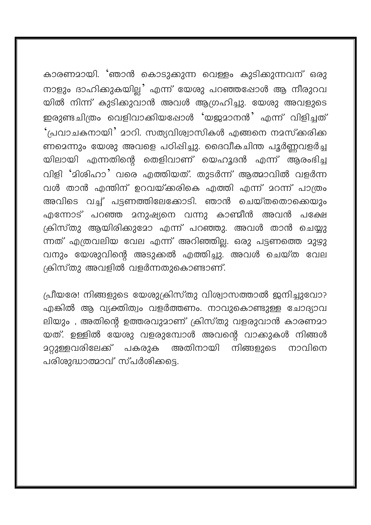കാരണമായി. 'ഞാൻ കൊടുക്കുന്ന വെള്ളം കുടിക്കുന്നവന് ഒരു നാളും ദാഹികുകയില്ല' എന്ന് യേശു പറഞ്ഞപ്പോൾ ആ നീരുറവ യിൽ നിന്ന് കുടിക്കുവാൻ അവൾ ആഗ്രഹിച്ചു. യേശു അവളുടെ ഇരുണ്ടചിത്രം വെളിവാക്കിയഷോൾ 'യജമാനൻ' എന്ന് വിളിച്ചത് 'പ്രവാചകനായി' മാറി. സത്യവിശ്വാസികൾ എങ്ങനെ നമസ്കരിക്ക ണമെന്നും യേശു അവളെ പഠിഷിച്ചു. ദൈവീകചിന്ത പൂർണ്ണവളർച്ച യിലായി എന്നതിന്റെ തെളിവാണ് യെഹൂദൻ എന്ന് ആരംഭിച്ച വിളി 'മിശിഹാ' വരെ എത്തിയത്. തുടർന്ന് ആത്മാവിൽ വളർന്ന വൾ താൻ എന്തിന് ഉറവയ്ക്കരികെ എത്തി എന്ന് മറന്ന് പാത്രം അവിടെ വച്ച് പട്ടണത്തിലേക്കോടി. ഞാൻ ചെയ്തതൊക്കെയും എന്നോട് പറഞ്ഞ മനുഷ്യനെ വന്നു കാണ്മീൻ അവൻ പക്ഷേ ക്രിസ്തു ആയിരിക്കുമോ എന്ന് പറഞ്ഞു. അവൾ താൻ ചെയ്യു ന്നത് എത്രവലിയ വേല എന്ന് അറിഞ്ഞില്ല. ഒരു പട്ടണത്തെ മുഴു വനും യേശുവിന്റെ അടുക്കൽ എത്തിച്ചു. അവൾ ചെയ്ത വേല ക്രിസ്തു അവളിൽ വളർന്നതുകൊണ്ടാണ്.

പ്രീയരേ! നിങ്ങളുടെ യേശുക്രിസ്തു വിശ്വാസത്താൽ ജനിച്ചുവോ? എങ്കിൽ ആ വ്യക്തിത്വം വളർത്തണം. നാവുകൊണ്ടുള്ള ചോദ്യാവ ലിയും , അതിന്റെ ഉത്തരവുമാണ് ക്രിസ്തു വളരുവാൻ കാരണമാ യത്. ഉള്ളിൽ യേശു വളരുമ്പോൾ അവന്റെ വാകുകൾ നിങ്ങൾ <u>ാറ്റുള്ള</u>വരിലേക്ക് പകരുക അതിനായി നിങ്ങളുടെ നാവിനെ പരിശുദ്ധാത്മാവ് സ്പർശിക്കട്ടെ.